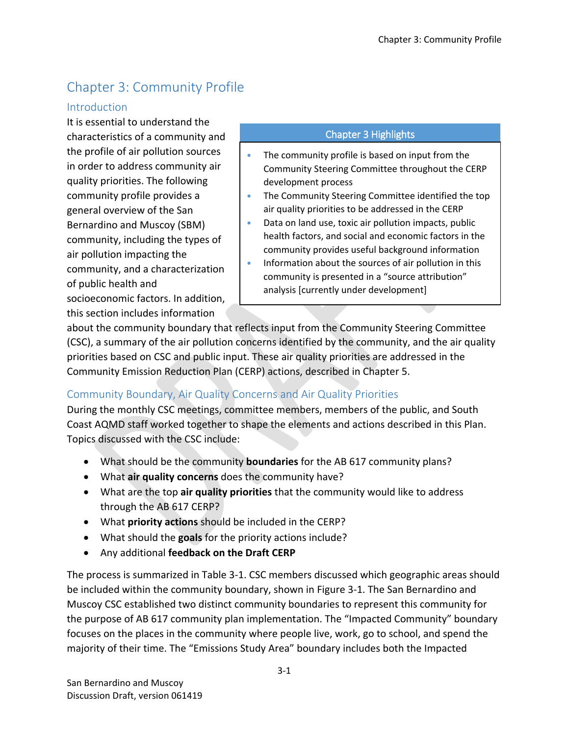# Chapter 3: Community Profile

#### Introduction

It is essential to understand the characteristics of a community and the profile of air pollution sources in order to address community air quality priorities. The following community profile provides a general overview of the San Bernardino and Muscoy (SBM) community, including the types of air pollution impacting the community, and a characterization of public health and socioeconomic factors. In addition, this section includes information

#### Chapter 3 Highlights

- The community profile is based on input from the Community Steering Committee throughout the CERP development process
- The Community Steering Committee identified the top air quality priorities to be addressed in the CERP
- Data on land use, toxic air pollution impacts, public health factors, and social and economic factors in the community provides useful background information
- Information about the sources of air pollution in this community is presented in a "source attribution" analysis [currently under development]

about the community boundary that reflects input from the Community Steering Committee (CSC), a summary of the air pollution concerns identified by the community, and the air quality priorities based on CSC and public input. These air quality priorities are addressed in the Community Emission Reduction Plan (CERP) actions, described in Chapter 5.

## Community Boundary, Air Quality Concerns and Air Quality Priorities

During the monthly CSC meetings, committee members, members of the public, and South Coast AQMD staff worked together to shape the elements and actions described in this Plan. Topics discussed with the CSC include:

- What should be the community **boundaries** for the AB 617 community plans?
- What **air quality concerns** does the community have?
- What are the top **air quality priorities** that the community would like to address through the AB 617 CERP?
- What **priority actions** should be included in the CERP?
- What should the **goals** for the priority actions include?
- Any additional **feedback on the Draft CERP**

The process is summarized in [Table 3-1.](#page-2-0) CSC members discussed which geographic areas should be included within the community boundary, shown in [Figure 3-1.](#page-3-0) The San Bernardino and Muscoy CSC established two distinct community boundaries to represent this community for the purpose of AB 617 community plan implementation. The "Impacted Community" boundary focuses on the places in the community where people live, work, go to school, and spend the majority of their time. The "Emissions Study Area" boundary includes both the Impacted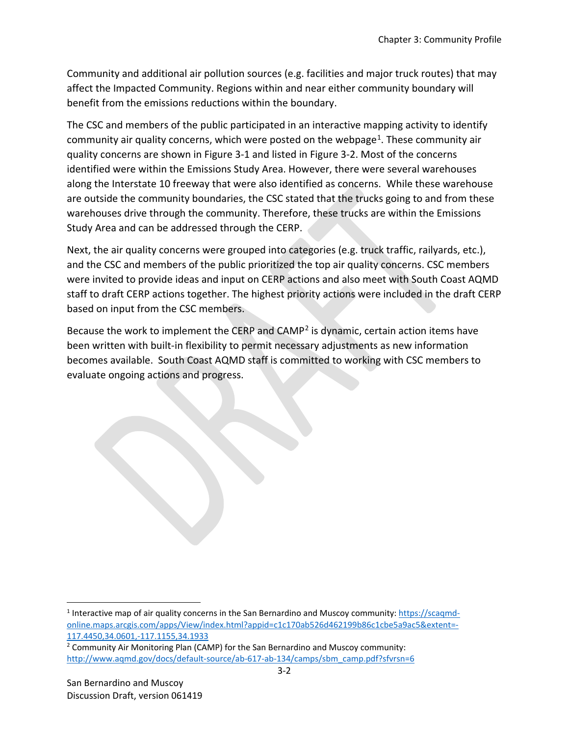Community and additional air pollution sources (e.g. facilities and major truck routes) that may affect the Impacted Community. Regions within and near either community boundary will benefit from the emissions reductions within the boundary.

The CSC and members of the public participated in an interactive mapping activity to identify community air quality concerns, which were posted on the webpage<sup>[1](#page-1-0)</sup>. These community air quality concerns are shown in [Figure 3-1](#page-3-0) and listed i[n Figure 3-2.](#page-5-0) Most of the concerns identified were within the Emissions Study Area. However, there were several warehouses along the Interstate 10 freeway that were also identified as concerns. While these warehouse are outside the community boundaries, the CSC stated that the trucks going to and from these warehouses drive through the community. Therefore, these trucks are within the Emissions Study Area and can be addressed through the CERP.

Next, the air quality concerns were grouped into categories (e.g. truck traffic, railyards, etc.), and the CSC and members of the public prioritized the top air quality concerns. CSC members were invited to provide ideas and input on CERP actions and also meet with South Coast AQMD staff to draft CERP actions together. The highest priority actions were included in the draft CERP based on input from the CSC members.

Because the work to implement the CERP and  $CAMP<sup>2</sup>$  $CAMP<sup>2</sup>$  $CAMP<sup>2</sup>$  is dynamic, certain action items have been written with built-in flexibility to permit necessary adjustments as new information becomes available. South Coast AQMD staff is committed to working with CSC members to evaluate ongoing actions and progress.

 $\overline{a}$ 

<span id="page-1-0"></span><sup>1</sup> Interactive map of air quality concerns in the San Bernardino and Muscoy community: [https://scaqmd](https://scaqmd-online.maps.arcgis.com/apps/View/index.html?appid=c1c170ab526d462199b86c1cbe5a9ac5&extent=-117.4450,34.0601,-117.1155,34.1933)[online.maps.arcgis.com/apps/View/index.html?appid=c1c170ab526d462199b86c1cbe5a9ac5&extent=-](https://scaqmd-online.maps.arcgis.com/apps/View/index.html?appid=c1c170ab526d462199b86c1cbe5a9ac5&extent=-117.4450,34.0601,-117.1155,34.1933) [117.4450,34.0601,-117.1155,34.1933](https://scaqmd-online.maps.arcgis.com/apps/View/index.html?appid=c1c170ab526d462199b86c1cbe5a9ac5&extent=-117.4450,34.0601,-117.1155,34.1933)

<span id="page-1-1"></span><sup>2</sup> Community Air Monitoring Plan (CAMP) for the San Bernardino and Muscoy community: [http://www.aqmd.gov/docs/default-source/ab-617-ab-134/camps/sbm\\_camp.pdf?sfvrsn=6](http://www.aqmd.gov/docs/default-source/ab-617-ab-134/camps/sbm_camp.pdf?sfvrsn=6)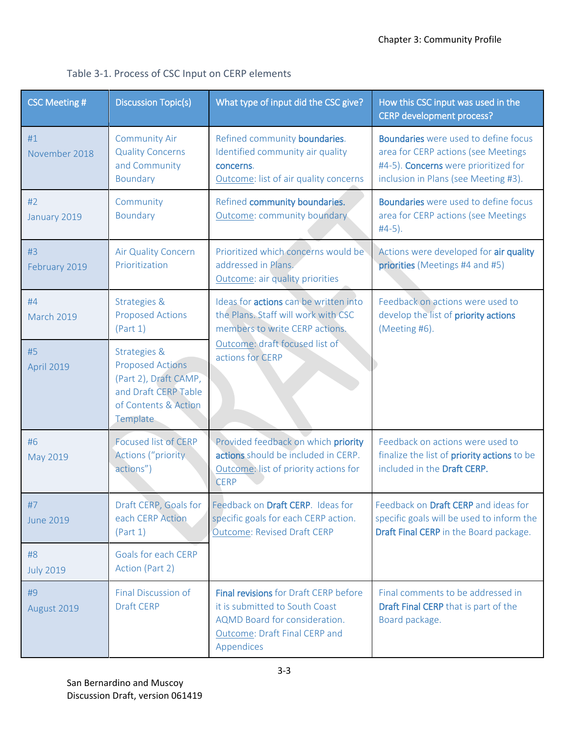| <b>CSC Meeting #</b>    | <b>Discussion Topic(s)</b>                                                                                                   | What type of input did the CSC give?                                                                                                                           | How this CSC input was used in the<br><b>CERP development process?</b>                                                                                             |  |
|-------------------------|------------------------------------------------------------------------------------------------------------------------------|----------------------------------------------------------------------------------------------------------------------------------------------------------------|--------------------------------------------------------------------------------------------------------------------------------------------------------------------|--|
| #1<br>November 2018     | <b>Community Air</b><br><b>Quality Concerns</b><br>and Community<br>Boundary                                                 | Refined community boundaries.<br>Identified community air quality<br>concerns.<br>Outcome: list of air quality concerns                                        | <b>Boundaries</b> were used to define focus<br>area for CERP actions (see Meetings<br>#4-5). Concerns were prioritized for<br>inclusion in Plans (see Meeting #3). |  |
| #2<br>January 2019      | Community<br>Boundary                                                                                                        | Refined community boundaries.<br>Outcome: community boundary                                                                                                   | <b>Boundaries</b> were used to define focus<br>area for CERP actions (see Meetings<br>$#4-5$ ).                                                                    |  |
| #3<br>February 2019     | Air Quality Concern<br>Prioritization                                                                                        | Prioritized which concerns would be<br>addressed in Plans.<br>Outcome: air quality priorities                                                                  | Actions were developed for air quality<br>priorities (Meetings #4 and #5)                                                                                          |  |
| #4<br><b>March 2019</b> | <b>Strategies &amp;</b><br><b>Proposed Actions</b><br>(Part 1)                                                               | Ideas for actions can be written into<br>the Plans. Staff will work with CSC<br>members to write CERP actions.                                                 | Feedback on actions were used to<br>develop the list of priority actions<br>(Meeting #6).                                                                          |  |
| #5<br>April 2019        | Strategies &<br><b>Proposed Actions</b><br>(Part 2), Draft CAMP,<br>and Draft CERP Table<br>of Contents & Action<br>Template | Outcome: draft focused list of<br>actions for CERP                                                                                                             |                                                                                                                                                                    |  |
| #6<br>May 2019          | <b>Focused list of CERP</b><br><b>Actions ("priority</b><br>actions")                                                        | Provided feedback on which priority<br>actions should be included in CERP.<br>Outcome: list of priority actions for<br><b>CERP</b>                             | Feedback on actions were used to<br>finalize the list of priority actions to be<br>included in the Draft CERP.                                                     |  |
| #7<br><b>June 2019</b>  | Draft CERP, Goals for<br>each CERP Action<br>(Part 1)                                                                        | Feedback on Draft CERP. Ideas for<br>specific goals for each CERP action.<br><b>Outcome: Revised Draft CERP</b>                                                | Feedback on Draft CERP and ideas for<br>specific goals will be used to inform the<br>Draft Final CERP in the Board package.                                        |  |
| #8<br><b>July 2019</b>  | Goals for each CERP<br>Action (Part 2)                                                                                       |                                                                                                                                                                |                                                                                                                                                                    |  |
| #9<br>August 2019       | Final Discussion of<br><b>Draft CERP</b>                                                                                     | <b>Final revisions for Draft CERP before</b><br>it is submitted to South Coast<br>AQMD Board for consideration.<br>Outcome: Draft Final CERP and<br>Appendices | Final comments to be addressed in<br><b>Draft Final CERP</b> that is part of the<br>Board package.                                                                 |  |

<span id="page-2-0"></span>Table 3-1. Process of CSC Input on CERP elements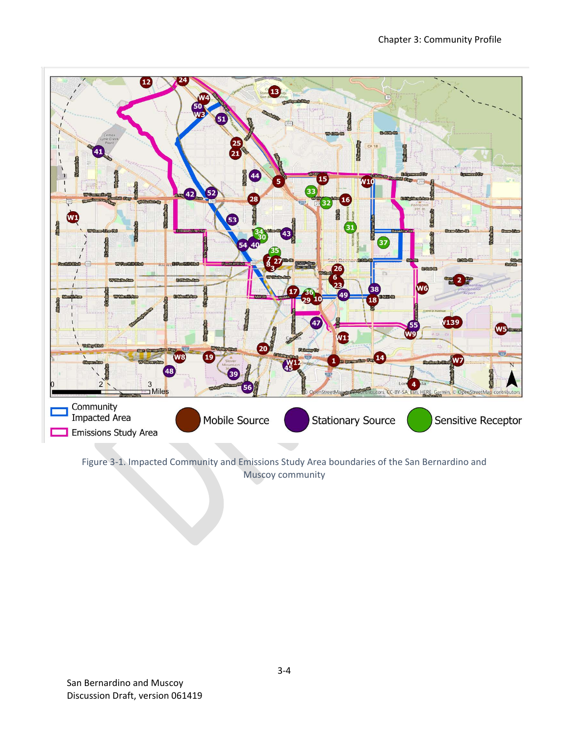

<span id="page-3-0"></span>Figure 3-1. Impacted Community and Emissions Study Area boundaries of the San Bernardino and Muscoy community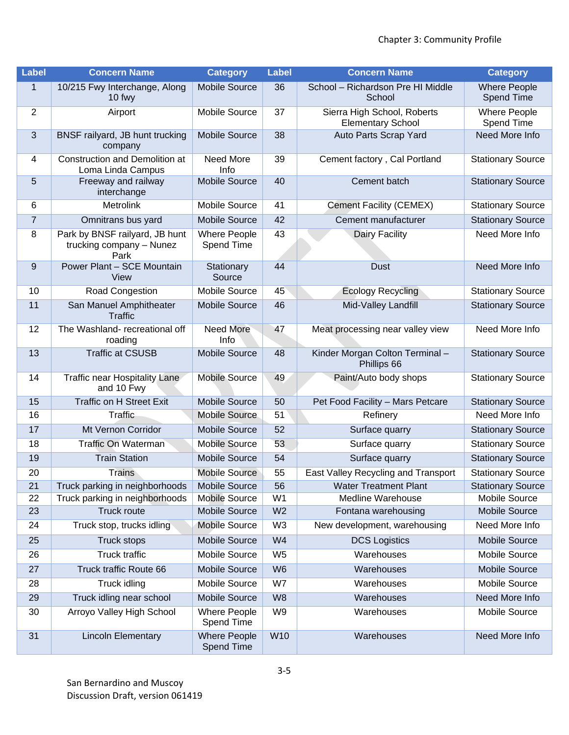| <b>Label</b>             | <b>Concern Name</b>                                                | <b>Category</b>                   | Label          | <b>Concern Name</b>                                     | <b>Category</b>                   |
|--------------------------|--------------------------------------------------------------------|-----------------------------------|----------------|---------------------------------------------------------|-----------------------------------|
| $\mathbf{1}$             | 10/215 Fwy Interchange, Along<br>10 fwy                            | Mobile Source                     | 36             | School - Richardson Pre HI Middle<br>School             | <b>Where People</b><br>Spend Time |
| $\overline{2}$           | Airport                                                            | Mobile Source                     | 37             | Sierra High School, Roberts<br><b>Elementary School</b> | <b>Where People</b><br>Spend Time |
| 3                        | BNSF railyard, JB hunt trucking<br>company                         | Mobile Source                     | 38             | Auto Parts Scrap Yard                                   | Need More Info                    |
| $\overline{\mathcal{A}}$ | <b>Construction and Demolition at</b><br>Loma Linda Campus         | Need More<br>Info                 | 39             | Cement factory, Cal Portland                            | <b>Stationary Source</b>          |
| 5                        | Freeway and railway<br>interchange                                 | <b>Mobile Source</b>              | 40             | Cement batch                                            | <b>Stationary Source</b>          |
| 6                        | Metrolink                                                          | Mobile Source                     | 41             | <b>Cement Facility (CEMEX)</b>                          | <b>Stationary Source</b>          |
| $\overline{7}$           | Omnitrans bus yard                                                 | Mobile Source                     | 42             | Cement manufacturer                                     | <b>Stationary Source</b>          |
| 8                        | Park by BNSF railyard, JB hunt<br>trucking company - Nunez<br>Park | <b>Where People</b><br>Spend Time | 43             | Dairy Facility                                          | Need More Info                    |
| 9                        | Power Plant - SCE Mountain<br>View                                 | Stationary<br>Source              | 44             | <b>Dust</b>                                             | Need More Info                    |
| 10                       | Road Congestion                                                    | Mobile Source                     | 45             | <b>Ecology Recycling</b>                                | <b>Stationary Source</b>          |
| 11                       | San Manuel Amphitheater<br><b>Traffic</b>                          | Mobile Source                     | 46             | Mid-Valley Landfill                                     | <b>Stationary Source</b>          |
| 12                       | The Washland- recreational off<br>roading                          | <b>Need More</b><br>Info          | 47             | Meat processing near valley view                        | Need More Info                    |
| 13                       | <b>Traffic at CSUSB</b>                                            | <b>Mobile Source</b>              | 48             | Kinder Morgan Colton Terminal-<br>Phillips 66           | <b>Stationary Source</b>          |
| 14                       | Traffic near Hospitality Lane<br>and 10 Fwy                        | <b>Mobile Source</b>              | 49             | Paint/Auto body shops                                   | <b>Stationary Source</b>          |
| 15                       | <b>Traffic on H Street Exit</b>                                    | Mobile Source                     | 50             | Pet Food Facility - Mars Petcare                        | <b>Stationary Source</b>          |
| 16                       | <b>Traffic</b>                                                     | <b>Mobile Source</b>              | 51             | Refinery                                                | Need More Info                    |
| 17                       | Mt Vernon Corridor                                                 | <b>Mobile Source</b>              | 52             | Surface quarry                                          | <b>Stationary Source</b>          |
| 18                       | <b>Traffic On Waterman</b>                                         | <b>Mobile Source</b>              | 53             | Surface quarry                                          | <b>Stationary Source</b>          |
| 19                       | <b>Train Station</b>                                               | Mobile Source                     | 54             | Surface quarry                                          | <b>Stationary Source</b>          |
| 20                       | <b>Trains</b>                                                      | <b>Mobile Source</b>              | 55             | East Valley Recycling and Transport                     | Stationary Source                 |
| 21                       | Truck parking in neighborhoods                                     | Mobile Source                     | 56             | <b>Water Treatment Plant</b>                            | <b>Stationary Source</b>          |
| 22                       | Truck parking in neighborhoods                                     | <b>Mobile Source</b>              | W <sub>1</sub> | Medline Warehouse                                       | Mobile Source                     |
| 23                       | Truck route                                                        | Mobile Source                     | W <sub>2</sub> | Fontana warehousing                                     | <b>Mobile Source</b>              |
| 24                       | Truck stop, trucks idling                                          | Mobile Source                     | W <sub>3</sub> | New development, warehousing                            | Need More Info                    |
| 25                       | <b>Truck stops</b>                                                 | <b>Mobile Source</b>              | W4             | <b>DCS Logistics</b>                                    | <b>Mobile Source</b>              |
| 26                       | <b>Truck traffic</b>                                               | Mobile Source                     | W <sub>5</sub> | Warehouses                                              | Mobile Source                     |
| 27                       | Truck traffic Route 66                                             | <b>Mobile Source</b>              | W <sub>6</sub> | Warehouses                                              | <b>Mobile Source</b>              |
| 28                       | Truck idling                                                       | Mobile Source                     | W7             | Warehouses                                              | Mobile Source                     |
| 29                       | Truck idling near school                                           | Mobile Source                     | W <sub>8</sub> | Warehouses                                              | Need More Info                    |
| 30                       | Arroyo Valley High School                                          | <b>Where People</b><br>Spend Time | W <sub>9</sub> | Warehouses                                              | Mobile Source                     |
| 31                       | <b>Lincoln Elementary</b>                                          | <b>Where People</b><br>Spend Time | W10            | Warehouses                                              | Need More Info                    |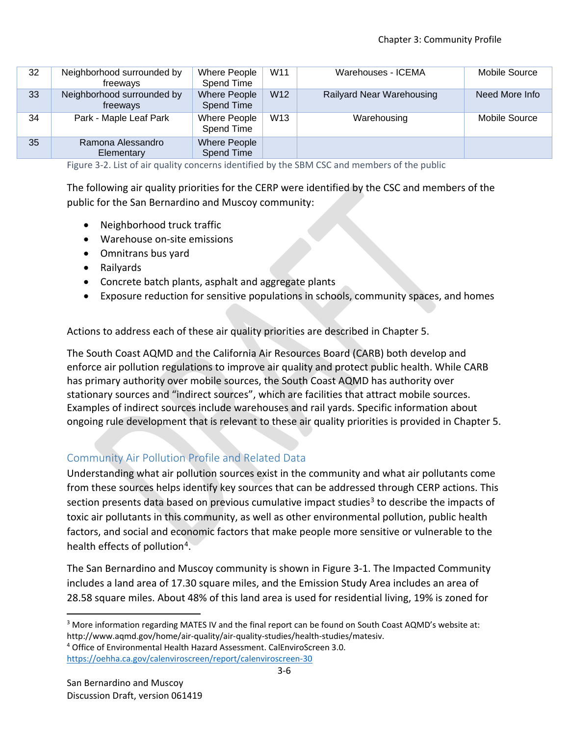| 32 | Neighborhood surrounded by<br>freeways | Where People<br>Spend Time | W <sub>11</sub> | Warehouses - ICEMA               | Mobile Source  |
|----|----------------------------------------|----------------------------|-----------------|----------------------------------|----------------|
| 33 | Neighborhood surrounded by<br>freeways | Where People<br>Spend Time | W <sub>12</sub> | <b>Railyard Near Warehousing</b> | Need More Info |
| 34 | Park - Maple Leaf Park                 | Where People<br>Spend Time | W <sub>13</sub> | Warehousing                      | Mobile Source  |
| 35 | Ramona Alessandro<br>Elementary        | Where People<br>Spend Time |                 |                                  |                |

<span id="page-5-0"></span>Figure 3-2. List of air quality concerns identified by the SBM CSC and members of the public

The following air quality priorities for the CERP were identified by the CSC and members of the public for the San Bernardino and Muscoy community:

- Neighborhood truck traffic
- Warehouse on-site emissions
- Omnitrans bus yard
- Railyards
- Concrete batch plants, asphalt and aggregate plants
- Exposure reduction for sensitive populations in schools, community spaces, and homes

Actions to address each of these air quality priorities are described in Chapter 5.

The South Coast AQMD and the California Air Resources Board (CARB) both develop and enforce air pollution regulations to improve air quality and protect public health. While CARB has primary authority over mobile sources, the South Coast AQMD has authority over stationary sources and "indirect sources", which are facilities that attract mobile sources. Examples of indirect sources include warehouses and rail yards. Specific information about ongoing rule development that is relevant to these air quality priorities is provided in Chapter 5.

### Community Air Pollution Profile and Related Data

Understanding what air pollution sources exist in the community and what air pollutants come from these sources helps identify key sources that can be addressed through CERP actions. This section presents data based on previous cumulative impact studies<sup>[3](#page-5-1)</sup> to describe the impacts of toxic air pollutants in this community, as well as other environmental pollution, public health factors, and social and economic factors that make people more sensitive or vulnerable to the health effects of pollution<sup>4</sup>.

The San Bernardino and Muscoy community is shown in [Figure 3-1.](#page-3-0) The Impacted Community includes a land area of 17.30 square miles, and the Emission Study Area includes an area of 28.58 square miles. About 48% of this land area is used for residential living, 19% is zoned for

l

<span id="page-5-1"></span><sup>&</sup>lt;sup>3</sup> More information regarding MATES IV and the final report can be found on South Coast AQMD's website at: http://www.aqmd.gov/home/air-quality/air-quality-studies/health-studies/matesiv.

<span id="page-5-2"></span><sup>4</sup> Office of Environmental Health Hazard Assessment. CalEnviroScreen 3.0.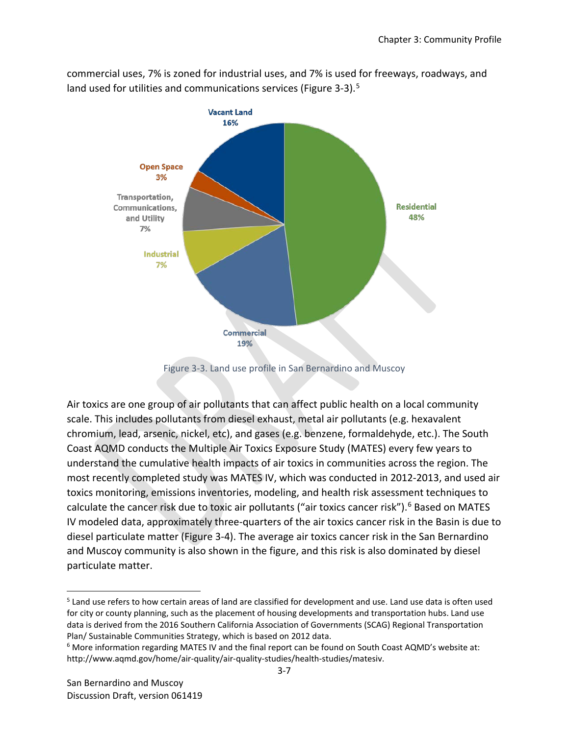commercial uses, 7% is zoned for industrial uses, and 7% is used for freeways, roadways, and land used for utilities and communications services [\(Figure 3-3\)](#page-6-0).<sup>[5](#page-6-1)</sup>



Figure 3-3. Land use profile in San Bernardino and Muscoy

<span id="page-6-0"></span>Air toxics are one group of air pollutants that can affect public health on a local community scale. This includes pollutants from diesel exhaust, metal air pollutants (e.g. hexavalent chromium, lead, arsenic, nickel, etc), and gases (e.g. benzene, formaldehyde, etc.). The South Coast AQMD conducts the Multiple Air Toxics Exposure Study (MATES) every few years to understand the cumulative health impacts of air toxics in communities across the region. The most recently completed study was MATES IV, which was conducted in 2012-2013, and used air toxics monitoring, emissions inventories, modeling, and health risk assessment techniques to calculate the cancer risk due to toxic air pollutants ("air toxics cancer risk").<sup>[6](#page-6-2)</sup> Based on MATES IV modeled data, approximately three-quarters of the air toxics cancer risk in the Basin is due to diesel particulate matter [\(Figure 3-4\)](#page-7-0). The average air toxics cancer risk in the San Bernardino and Muscoy community is also shown in the figure, and this risk is also dominated by diesel particulate matter.

l

<span id="page-6-1"></span><sup>&</sup>lt;sup>5</sup> Land use refers to how certain areas of land are classified for development and use. Land use data is often used for city or county planning, such as the placement of housing developments and transportation hubs. Land use data is derived from the 2016 Southern California Association of Governments (SCAG) Regional Transportation Plan/ Sustainable Communities Strategy, which is based on 2012 data.

<span id="page-6-2"></span><sup>6</sup> More information regarding MATES IV and the final report can be found on South Coast AQMD's website at: http://www.aqmd.gov/home/air-quality/air-quality-studies/health-studies/matesiv.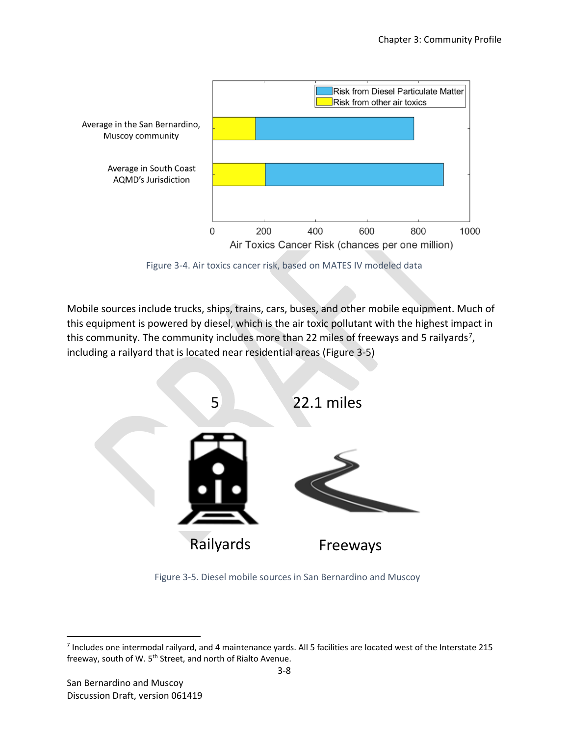

Figure 3-4. Air toxics cancer risk, based on MATES IV modeled data

<span id="page-7-0"></span>Mobile sources include trucks, ships, trains, cars, buses, and other mobile equipment. Much of this equipment is powered by diesel, which is the air toxic pollutant with the highest impact in this community. The community includes more than 22 miles of freeways and 5 railyards<sup>[7](#page-7-2)</sup>, including a railyard that is located near residential areas [\(Figure 3-5\)](#page-7-1)



<span id="page-7-1"></span>Figure 3-5. Diesel mobile sources in San Bernardino and Muscoy

 $\overline{\phantom{a}}$ 

<span id="page-7-2"></span><sup>7</sup> Includes one intermodal railyard, and 4 maintenance yards. All 5 facilities are located west of the Interstate 215 freeway, south of W. 5<sup>th</sup> Street, and north of Rialto Avenue.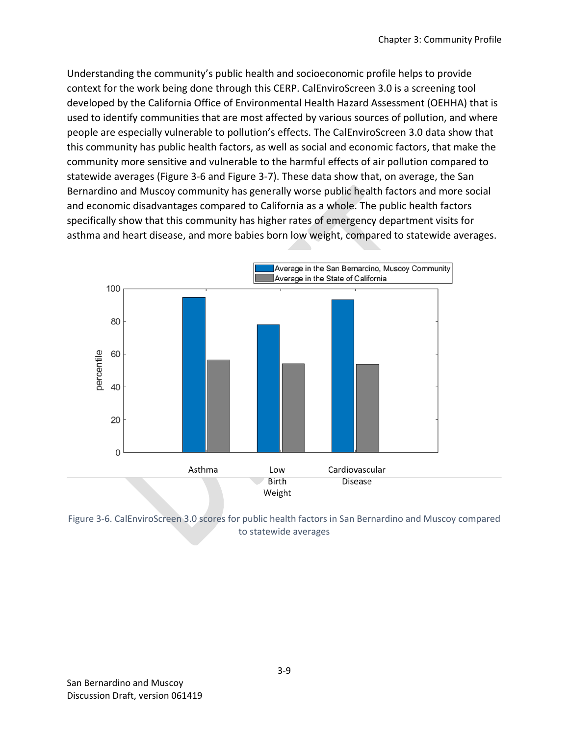Understanding the community's public health and socioeconomic profile helps to provide context for the work being done through this CERP. CalEnviroScreen 3.0 is a screening tool developed by the California Office of Environmental Health Hazard Assessment (OEHHA) that is used to identify communities that are most affected by various sources of pollution, and where people are especially vulnerable to pollution's effects. The CalEnviroScreen 3.0 data show that this community has public health factors, as well as social and economic factors, that make the community more sensitive and vulnerable to the harmful effects of air pollution compared to statewide averages [\(Figure 3-6](#page-8-0) and [Figure 3-7\)](#page-9-0). These data show that, on average, the San Bernardino and Muscoy community has generally worse public health factors and more social and economic disadvantages compared to California as a whole. The public health factors specifically show that this community has higher rates of emergency department visits for asthma and heart disease, and more babies born low weight, compared to statewide averages.



<span id="page-8-0"></span>Figure 3-6. CalEnviroScreen 3.0 scores for public health factors in San Bernardino and Muscoy compared to statewide averages